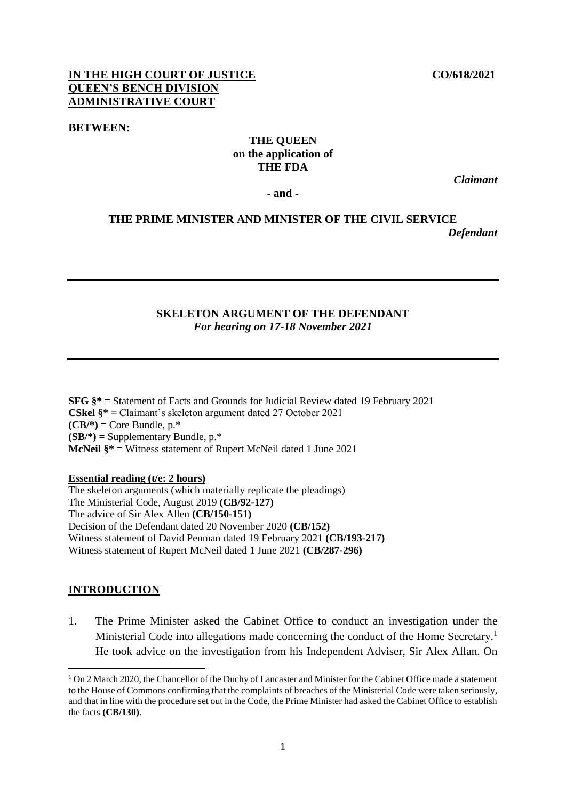### **IN THE HIGH COURT OF JUSTICE CO/618/2021 QUEEN'S BENCH DIVISION ADMINISTRATIVE COURT**

#### **BETWEEN:**

### **THE QUEEN on the application of THE FDA**

*Claimant*

**- and -**

# **THE PRIME MINISTER AND MINISTER OF THE CIVIL SERVICE** *Defendant*

#### **SKELETON ARGUMENT OF THE DEFENDANT** *For hearing on 17-18 November 2021*

**SFG §\*** = Statement of Facts and Grounds for Judicial Review dated 19 February 2021 **CSkel §\*** = Claimant's skeleton argument dated 27 October 2021  $(CB/*)=$  Core Bundle, p.\*  $(SB/*)=$  Supplementary Bundle,  $p.*$ **McNeil §\*** = Witness statement of Rupert McNeil dated 1 June 2021

**Essential reading (t/e: 2 hours)**

The skeleton arguments (which materially replicate the pleadings) The Ministerial Code, August 2019 **(CB/92-127)** The advice of Sir Alex Allen **(CB/150-151)** Decision of the Defendant dated 20 November 2020 **(CB/152)** Witness statement of David Penman dated 19 February 2021 **(CB/193-217)** Witness statement of Rupert McNeil dated 1 June 2021 **(CB/287-296)**

#### **INTRODUCTION**

-

1. The Prime Minister asked the Cabinet Office to conduct an investigation under the Ministerial Code into allegations made concerning the conduct of the Home Secretary.<sup>1</sup> He took advice on the investigation from his Independent Adviser, Sir Alex Allan. On

<sup>&</sup>lt;sup>1</sup> On 2 March 2020, the Chancellor of the Duchy of Lancaster and Minister for the Cabinet Office made a statement to the House of Commons confirming that the complaints of breaches of the Ministerial Code were taken seriously, and that in line with the procedure set out in the Code, the Prime Minister had asked the Cabinet Office to establish the facts **(CB/130)**.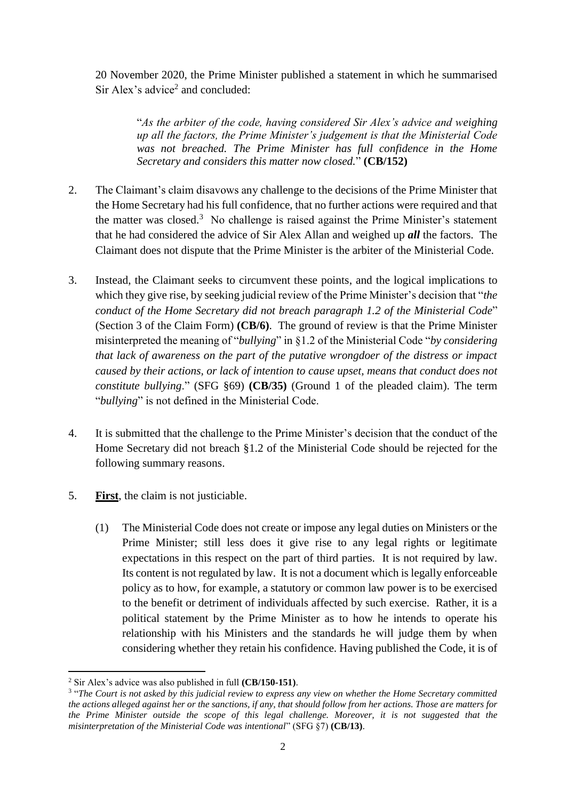20 November 2020, the Prime Minister published a statement in which he summarised Sir Alex's advice<sup>2</sup> and concluded:

> "*As the arbiter of the code, having considered Sir Alex's advice and weighing up all the factors, the Prime Minister's judgement is that the Ministerial Code was not breached. The Prime Minister has full confidence in the Home Secretary and considers this matter now closed.*" **(CB/152)**

- 2. The Claimant's claim disavows any challenge to the decisions of the Prime Minister that the Home Secretary had his full confidence, that no further actions were required and that the matter was closed.<sup>3</sup> No challenge is raised against the Prime Minister's statement that he had considered the advice of Sir Alex Allan and weighed up *all* the factors. The Claimant does not dispute that the Prime Minister is the arbiter of the Ministerial Code.
- 3. Instead, the Claimant seeks to circumvent these points, and the logical implications to which they give rise, by seeking judicial review of the Prime Minister's decision that "*the conduct of the Home Secretary did not breach paragraph 1.2 of the Ministerial Code*" (Section 3 of the Claim Form) **(CB/6)**. The ground of review is that the Prime Minister misinterpreted the meaning of "*bullying*" in §1.2 of the Ministerial Code "*by considering that lack of awareness on the part of the putative wrongdoer of the distress or impact caused by their actions, or lack of intention to cause upset, means that conduct does not constitute bullying*." (SFG §69) **(CB/35)** (Ground 1 of the pleaded claim). The term "*bullying*" is not defined in the Ministerial Code.
- 4. It is submitted that the challenge to the Prime Minister's decision that the conduct of the Home Secretary did not breach §1.2 of the Ministerial Code should be rejected for the following summary reasons.
- 5. **First**, the claim is not justiciable.
	- (1) The Ministerial Code does not create or impose any legal duties on Ministers or the Prime Minister; still less does it give rise to any legal rights or legitimate expectations in this respect on the part of third parties. It is not required by law. Its content is not regulated by law. It is not a document which is legally enforceable policy as to how, for example, a statutory or common law power is to be exercised to the benefit or detriment of individuals affected by such exercise. Rather, it is a political statement by the Prime Minister as to how he intends to operate his relationship with his Ministers and the standards he will judge them by when considering whether they retain his confidence. Having published the Code, it is of

<sup>-</sup><sup>2</sup> Sir Alex's advice was also published in full **(CB/150-151)**.

<sup>&</sup>lt;sup>3</sup> "The Court is not asked by this judicial review to express any view on whether the Home Secretary committed *the actions alleged against her or the sanctions, if any, that should follow from her actions. Those are matters for the Prime Minister outside the scope of this legal challenge. Moreover, it is not suggested that the misinterpretation of the Ministerial Code was intentional*" (SFG §7) **(CB/13)**.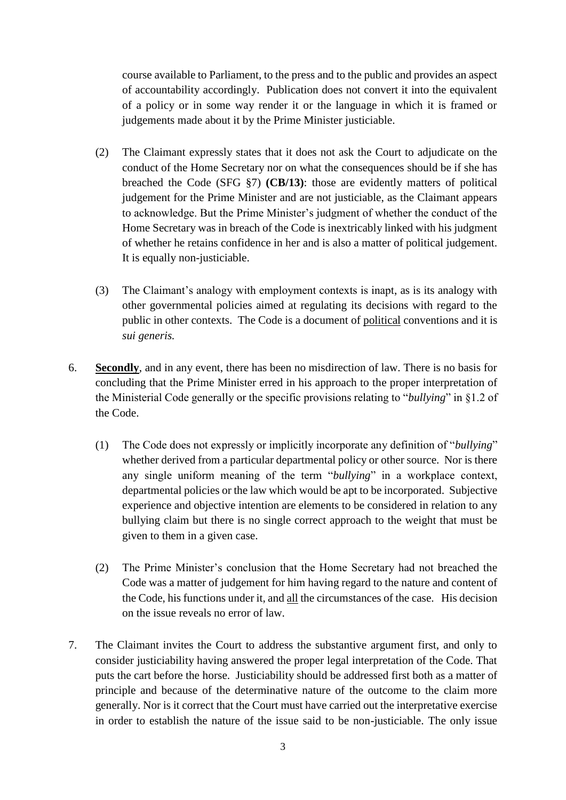course available to Parliament, to the press and to the public and provides an aspect of accountability accordingly. Publication does not convert it into the equivalent of a policy or in some way render it or the language in which it is framed or judgements made about it by the Prime Minister justiciable.

- (2) The Claimant expressly states that it does not ask the Court to adjudicate on the conduct of the Home Secretary nor on what the consequences should be if she has breached the Code (SFG §7) **(CB/13)**: those are evidently matters of political judgement for the Prime Minister and are not justiciable, as the Claimant appears to acknowledge. But the Prime Minister's judgment of whether the conduct of the Home Secretary was in breach of the Code is inextricably linked with his judgment of whether he retains confidence in her and is also a matter of political judgement. It is equally non-justiciable.
- (3) The Claimant's analogy with employment contexts is inapt, as is its analogy with other governmental policies aimed at regulating its decisions with regard to the public in other contexts. The Code is a document of political conventions and it is *sui generis.*
- 6. **Secondly**, and in any event, there has been no misdirection of law. There is no basis for concluding that the Prime Minister erred in his approach to the proper interpretation of the Ministerial Code generally or the specific provisions relating to "*bullying*" in §1.2 of the Code.
	- (1) The Code does not expressly or implicitly incorporate any definition of "*bullying*" whether derived from a particular departmental policy or other source. Nor is there any single uniform meaning of the term "*bullying*" in a workplace context, departmental policies or the law which would be apt to be incorporated. Subjective experience and objective intention are elements to be considered in relation to any bullying claim but there is no single correct approach to the weight that must be given to them in a given case.
	- (2) The Prime Minister's conclusion that the Home Secretary had not breached the Code was a matter of judgement for him having regard to the nature and content of the Code, his functions under it, and all the circumstances of the case. His decision on the issue reveals no error of law.
- 7. The Claimant invites the Court to address the substantive argument first, and only to consider justiciability having answered the proper legal interpretation of the Code. That puts the cart before the horse. Justiciability should be addressed first both as a matter of principle and because of the determinative nature of the outcome to the claim more generally. Nor is it correct that the Court must have carried out the interpretative exercise in order to establish the nature of the issue said to be non-justiciable. The only issue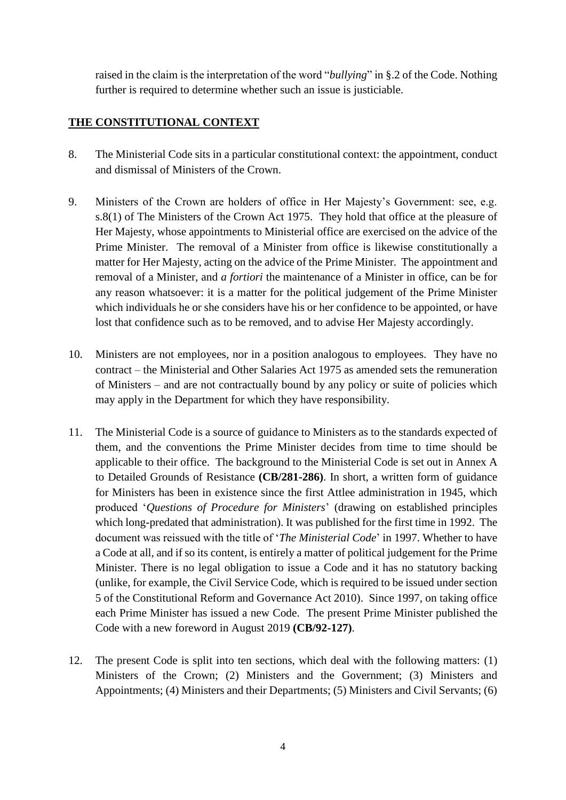raised in the claim is the interpretation of the word "*bullying*" in §.2 of the Code. Nothing further is required to determine whether such an issue is justiciable.

## **THE CONSTITUTIONAL CONTEXT**

- 8. The Ministerial Code sits in a particular constitutional context: the appointment, conduct and dismissal of Ministers of the Crown.
- 9. Ministers of the Crown are holders of office in Her Majesty's Government: see, e.g. s.8(1) of The Ministers of the Crown Act 1975. They hold that office at the pleasure of Her Majesty, whose appointments to Ministerial office are exercised on the advice of the Prime Minister. The removal of a Minister from office is likewise constitutionally a matter for Her Majesty, acting on the advice of the Prime Minister. The appointment and removal of a Minister, and *a fortiori* the maintenance of a Minister in office, can be for any reason whatsoever: it is a matter for the political judgement of the Prime Minister which individuals he or she considers have his or her confidence to be appointed, or have lost that confidence such as to be removed, and to advise Her Majesty accordingly.
- 10. Ministers are not employees, nor in a position analogous to employees. They have no contract – the Ministerial and Other Salaries Act 1975 as amended sets the remuneration of Ministers – and are not contractually bound by any policy or suite of policies which may apply in the Department for which they have responsibility.
- 11. The Ministerial Code is a source of guidance to Ministers as to the standards expected of them, and the conventions the Prime Minister decides from time to time should be applicable to their office. The background to the Ministerial Code is set out in Annex A to Detailed Grounds of Resistance **(CB/281-286)**. In short, a written form of guidance for Ministers has been in existence since the first Attlee administration in 1945, which produced '*Questions of Procedure for Ministers*' (drawing on established principles which long-predated that administration). It was published for the first time in 1992. The document was reissued with the title of '*The Ministerial Code*' in 1997. Whether to have a Code at all, and if so its content, is entirely a matter of political judgement for the Prime Minister. There is no legal obligation to issue a Code and it has no statutory backing (unlike, for example, the Civil Service Code, which is required to be issued under section 5 of the Constitutional Reform and Governance Act 2010). Since 1997, on taking office each Prime Minister has issued a new Code. The present Prime Minister published the Code with a new foreword in August 2019 **(CB/92-127)**.
- 12. The present Code is split into ten sections, which deal with the following matters: (1) Ministers of the Crown; (2) Ministers and the Government; (3) Ministers and Appointments; (4) Ministers and their Departments; (5) Ministers and Civil Servants; (6)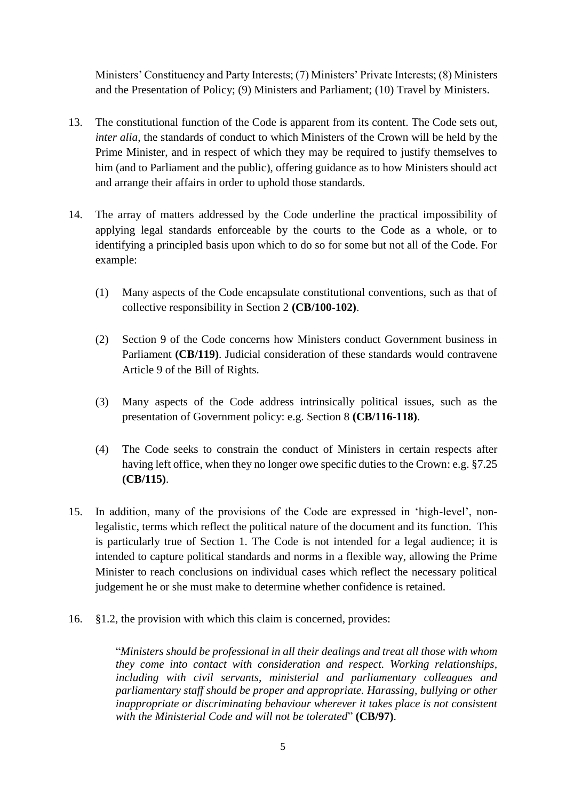Ministers' Constituency and Party Interests; (7) Ministers' Private Interests; (8) Ministers and the Presentation of Policy; (9) Ministers and Parliament; (10) Travel by Ministers.

- 13. The constitutional function of the Code is apparent from its content. The Code sets out, *inter alia*, the standards of conduct to which Ministers of the Crown will be held by the Prime Minister, and in respect of which they may be required to justify themselves to him (and to Parliament and the public), offering guidance as to how Ministers should act and arrange their affairs in order to uphold those standards.
- 14. The array of matters addressed by the Code underline the practical impossibility of applying legal standards enforceable by the courts to the Code as a whole, or to identifying a principled basis upon which to do so for some but not all of the Code. For example:
	- (1) Many aspects of the Code encapsulate constitutional conventions, such as that of collective responsibility in Section 2 **(CB/100-102)**.
	- (2) Section 9 of the Code concerns how Ministers conduct Government business in Parliament **(CB/119)**. Judicial consideration of these standards would contravene Article 9 of the Bill of Rights.
	- (3) Many aspects of the Code address intrinsically political issues, such as the presentation of Government policy: e.g. Section 8 **(CB/116-118)**.
	- (4) The Code seeks to constrain the conduct of Ministers in certain respects after having left office, when they no longer owe specific duties to the Crown: e.g. §7.25 **(CB/115)**.
- 15. In addition, many of the provisions of the Code are expressed in 'high-level', nonlegalistic, terms which reflect the political nature of the document and its function. This is particularly true of Section 1. The Code is not intended for a legal audience; it is intended to capture political standards and norms in a flexible way, allowing the Prime Minister to reach conclusions on individual cases which reflect the necessary political judgement he or she must make to determine whether confidence is retained.
- 16. §1.2, the provision with which this claim is concerned, provides:

"*Ministers should be professional in all their dealings and treat all those with whom they come into contact with consideration and respect. Working relationships, including with civil servants, ministerial and parliamentary colleagues and parliamentary staff should be proper and appropriate. Harassing, bullying or other inappropriate or discriminating behaviour wherever it takes place is not consistent with the Ministerial Code and will not be tolerated*" **(CB/97)**.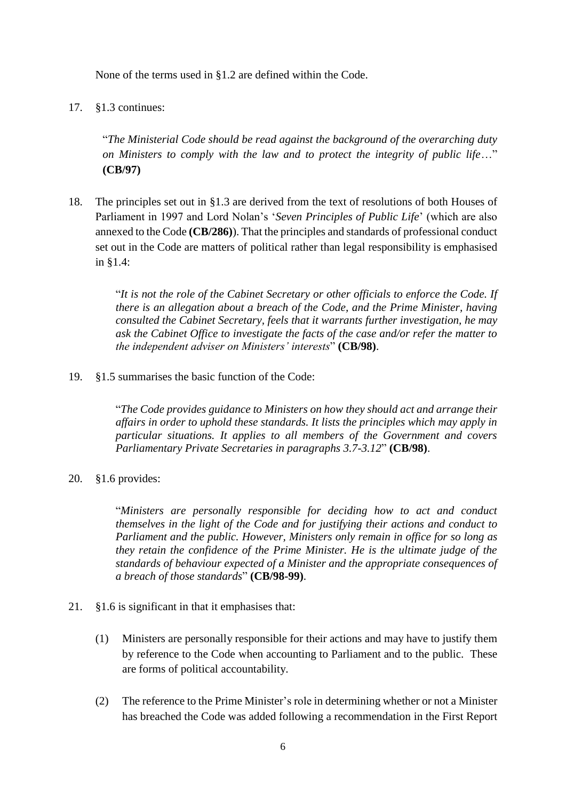None of the terms used in §1.2 are defined within the Code.

17. §1.3 continues:

"*The Ministerial Code should be read against the background of the overarching duty on Ministers to comply with the law and to protect the integrity of public life*…" **(CB/97)**

18. The principles set out in §1.3 are derived from the text of resolutions of both Houses of Parliament in 1997 and Lord Nolan's '*Seven Principles of Public Life*' (which are also annexed to the Code **(CB/286)**). That the principles and standards of professional conduct set out in the Code are matters of political rather than legal responsibility is emphasised in §1.4:

> "*It is not the role of the Cabinet Secretary or other officials to enforce the Code. If there is an allegation about a breach of the Code, and the Prime Minister, having consulted the Cabinet Secretary, feels that it warrants further investigation, he may ask the Cabinet Office to investigate the facts of the case and/or refer the matter to the independent adviser on Ministers' interests*" **(CB/98)**.

19. §1.5 summarises the basic function of the Code:

"*The Code provides guidance to Ministers on how they should act and arrange their affairs in order to uphold these standards. It lists the principles which may apply in particular situations. It applies to all members of the Government and covers Parliamentary Private Secretaries in paragraphs 3.7-3.12*" **(CB/98)**.

20. §1.6 provides:

"*Ministers are personally responsible for deciding how to act and conduct themselves in the light of the Code and for justifying their actions and conduct to Parliament and the public. However, Ministers only remain in office for so long as they retain the confidence of the Prime Minister. He is the ultimate judge of the standards of behaviour expected of a Minister and the appropriate consequences of a breach of those standards*" **(CB/98-99)**.

- 21. §1.6 is significant in that it emphasises that:
	- (1) Ministers are personally responsible for their actions and may have to justify them by reference to the Code when accounting to Parliament and to the public. These are forms of political accountability.
	- (2) The reference to the Prime Minister's role in determining whether or not a Minister has breached the Code was added following a recommendation in the First Report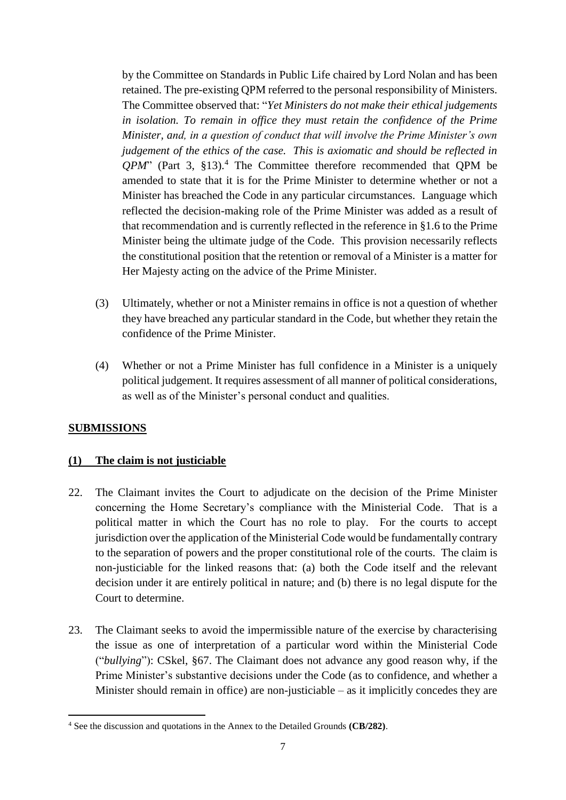by the Committee on Standards in Public Life chaired by Lord Nolan and has been retained. The pre-existing QPM referred to the personal responsibility of Ministers. The Committee observed that: "*Yet Ministers do not make their ethical judgements in isolation. To remain in office they must retain the confidence of the Prime Minister, and, in a question of conduct that will involve the Prime Minister's own judgement of the ethics of the case. This is axiomatic and should be reflected in QPM*" (Part 3, §13). <sup>4</sup> The Committee therefore recommended that QPM be amended to state that it is for the Prime Minister to determine whether or not a Minister has breached the Code in any particular circumstances. Language which reflected the decision-making role of the Prime Minister was added as a result of that recommendation and is currently reflected in the reference in §1.6 to the Prime Minister being the ultimate judge of the Code. This provision necessarily reflects the constitutional position that the retention or removal of a Minister is a matter for Her Majesty acting on the advice of the Prime Minister.

- (3) Ultimately, whether or not a Minister remains in office is not a question of whether they have breached any particular standard in the Code, but whether they retain the confidence of the Prime Minister.
- (4) Whether or not a Prime Minister has full confidence in a Minister is a uniquely political judgement. It requires assessment of all manner of political considerations, as well as of the Minister's personal conduct and qualities.

## **SUBMISSIONS**

### **(1) The claim is not justiciable**

- 22. The Claimant invites the Court to adjudicate on the decision of the Prime Minister concerning the Home Secretary's compliance with the Ministerial Code. That is a political matter in which the Court has no role to play. For the courts to accept jurisdiction over the application of the Ministerial Code would be fundamentally contrary to the separation of powers and the proper constitutional role of the courts. The claim is non-justiciable for the linked reasons that: (a) both the Code itself and the relevant decision under it are entirely political in nature; and (b) there is no legal dispute for the Court to determine.
- 23. The Claimant seeks to avoid the impermissible nature of the exercise by characterising the issue as one of interpretation of a particular word within the Ministerial Code ("*bullying*"): CSkel, §67. The Claimant does not advance any good reason why, if the Prime Minister's substantive decisions under the Code (as to confidence, and whether a Minister should remain in office) are non-justiciable – as it implicitly concedes they are

<sup>-</sup><sup>4</sup> See the discussion and quotations in the Annex to the Detailed Grounds **(CB/282)**.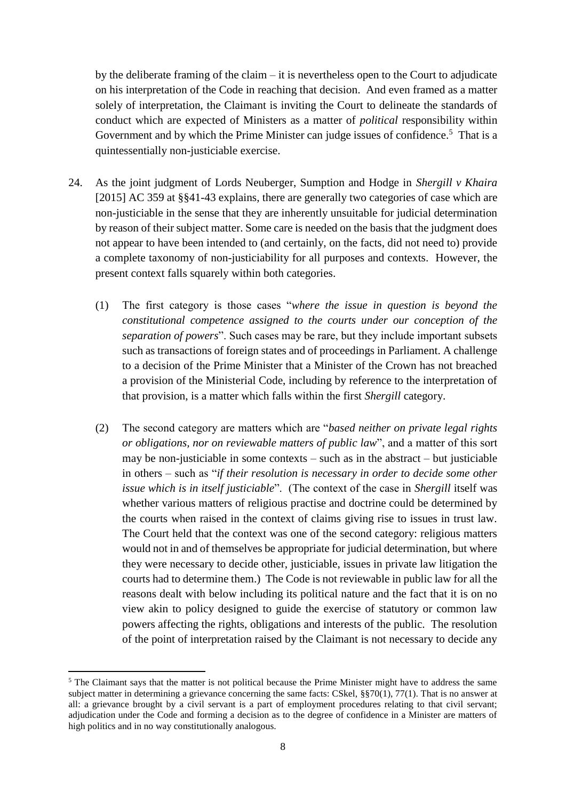by the deliberate framing of the claim – it is nevertheless open to the Court to adjudicate on his interpretation of the Code in reaching that decision. And even framed as a matter solely of interpretation, the Claimant is inviting the Court to delineate the standards of conduct which are expected of Ministers as a matter of *political* responsibility within Government and by which the Prime Minister can judge issues of confidence.<sup>5</sup> That is a quintessentially non-justiciable exercise.

- 24. As the joint judgment of Lords Neuberger, Sumption and Hodge in *Shergill v Khaira* [2015] AC 359 at §§41-43 explains, there are generally two categories of case which are non-justiciable in the sense that they are inherently unsuitable for judicial determination by reason of their subject matter. Some care is needed on the basis that the judgment does not appear to have been intended to (and certainly, on the facts, did not need to) provide a complete taxonomy of non-justiciability for all purposes and contexts. However, the present context falls squarely within both categories.
	- (1) The first category is those cases "*where the issue in question is beyond the constitutional competence assigned to the courts under our conception of the separation of powers*". Such cases may be rare, but they include important subsets such as transactions of foreign states and of proceedings in Parliament. A challenge to a decision of the Prime Minister that a Minister of the Crown has not breached a provision of the Ministerial Code, including by reference to the interpretation of that provision, is a matter which falls within the first *Shergill* category.
	- (2) The second category are matters which are "*based neither on private legal rights or obligations, nor on reviewable matters of public law*", and a matter of this sort may be non-justiciable in some contexts – such as in the abstract – but justiciable in others – such as "*if their resolution is necessary in order to decide some other issue which is in itself justiciable*". (The context of the case in *Shergill* itself was whether various matters of religious practise and doctrine could be determined by the courts when raised in the context of claims giving rise to issues in trust law. The Court held that the context was one of the second category: religious matters would not in and of themselves be appropriate for judicial determination, but where they were necessary to decide other, justiciable, issues in private law litigation the courts had to determine them.) The Code is not reviewable in public law for all the reasons dealt with below including its political nature and the fact that it is on no view akin to policy designed to guide the exercise of statutory or common law powers affecting the rights, obligations and interests of the public. The resolution of the point of interpretation raised by the Claimant is not necessary to decide any

<sup>&</sup>lt;sup>5</sup> The Claimant says that the matter is not political because the Prime Minister might have to address the same subject matter in determining a grievance concerning the same facts: CSkel, §§70(1), 77(1). That is no answer at all: a grievance brought by a civil servant is a part of employment procedures relating to that civil servant; adjudication under the Code and forming a decision as to the degree of confidence in a Minister are matters of high politics and in no way constitutionally analogous.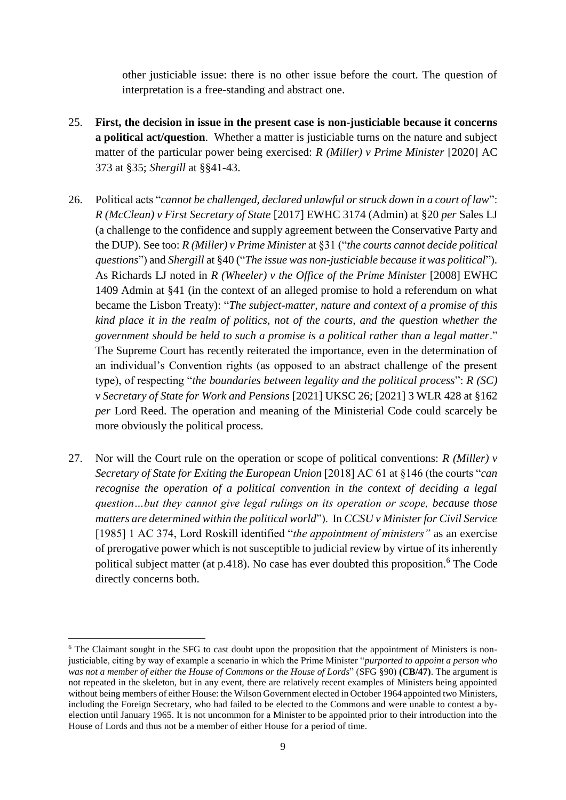other justiciable issue: there is no other issue before the court. The question of interpretation is a free-standing and abstract one.

- 25. **First, the decision in issue in the present case is non-justiciable because it concerns a political act/question**. Whether a matter is justiciable turns on the nature and subject matter of the particular power being exercised: *R (Miller) v Prime Minister* [2020] AC 373 at §35; *Shergill* at §§41-43.
- 26. Political acts "*cannot be challenged, declared unlawful or struck down in a court of law*": *R (McClean) v First Secretary of State* [2017] EWHC 3174 (Admin) at §20 *per* Sales LJ (a challenge to the confidence and supply agreement between the Conservative Party and the DUP). See too: *R (Miller) v Prime Minister* at §31 ("*the courts cannot decide political questions*") and *Shergill* at §40 ("*The issue was non-justiciable because it was political*"). As Richards LJ noted in *R (Wheeler) v the Office of the Prime Minister* [2008] EWHC 1409 Admin at §41 (in the context of an alleged promise to hold a referendum on what became the Lisbon Treaty): "*The subject-matter, nature and context of a promise of this kind place it in the realm of politics, not of the courts, and the question whether the government should be held to such a promise is a political rather than a legal matter*." The Supreme Court has recently reiterated the importance, even in the determination of an individual's Convention rights (as opposed to an abstract challenge of the present type), of respecting "*the boundaries between legality and the political process*": *R (SC) v Secretary of State for Work and Pensions* [2021] UKSC 26; [2021] 3 WLR 428 at §162 *per* Lord Reed. The operation and meaning of the Ministerial Code could scarcely be more obviously the political process.
- 27. Nor will the Court rule on the operation or scope of political conventions: *R (Miller) v Secretary of State for Exiting the European Union* [2018] AC 61 at §146 (the courts "*can recognise the operation of a political convention in the context of deciding a legal question…but they cannot give legal rulings on its operation or scope, because those matters are determined within the political world*"). In *CCSU v Minister for Civil Service*  [1985] 1 AC 374, Lord Roskill identified "*the appointment of ministers"* as an exercise of prerogative power which is not susceptible to judicial review by virtue of its inherently political subject matter (at  $p.418$ ). No case has ever doubted this proposition.<sup>6</sup> The Code directly concerns both.

<sup>&</sup>lt;sup>6</sup> The Claimant sought in the SFG to cast doubt upon the proposition that the appointment of Ministers is nonjusticiable, citing by way of example a scenario in which the Prime Minister "*purported to appoint a person who was not a member of either the House of Commons or the House of Lords*" (SFG §90) **(CB/47)**. The argument is not repeated in the skeleton, but in any event, there are relatively recent examples of Ministers being appointed without being members of either House: the Wilson Government elected in October 1964 appointed two Ministers, including the Foreign Secretary, who had failed to be elected to the Commons and were unable to contest a byelection until January 1965. It is not uncommon for a Minister to be appointed prior to their introduction into the House of Lords and thus not be a member of either House for a period of time.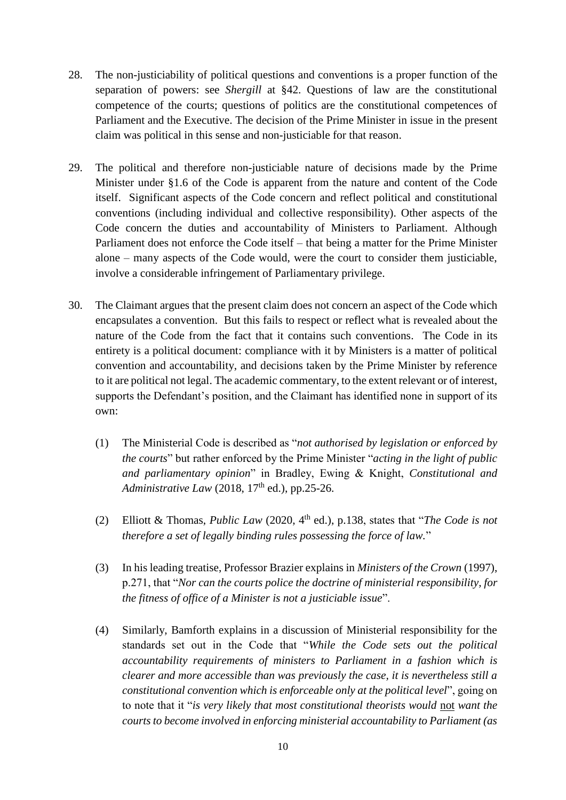- 28. The non-justiciability of political questions and conventions is a proper function of the separation of powers: see *Shergill* at §42. Questions of law are the constitutional competence of the courts; questions of politics are the constitutional competences of Parliament and the Executive. The decision of the Prime Minister in issue in the present claim was political in this sense and non-justiciable for that reason.
- 29. The political and therefore non-justiciable nature of decisions made by the Prime Minister under §1.6 of the Code is apparent from the nature and content of the Code itself. Significant aspects of the Code concern and reflect political and constitutional conventions (including individual and collective responsibility). Other aspects of the Code concern the duties and accountability of Ministers to Parliament. Although Parliament does not enforce the Code itself – that being a matter for the Prime Minister alone – many aspects of the Code would, were the court to consider them justiciable, involve a considerable infringement of Parliamentary privilege.
- 30. The Claimant argues that the present claim does not concern an aspect of the Code which encapsulates a convention. But this fails to respect or reflect what is revealed about the nature of the Code from the fact that it contains such conventions. The Code in its entirety is a political document: compliance with it by Ministers is a matter of political convention and accountability, and decisions taken by the Prime Minister by reference to it are political not legal. The academic commentary, to the extent relevant or of interest, supports the Defendant's position, and the Claimant has identified none in support of its own:
	- (1) The Ministerial Code is described as "*not authorised by legislation or enforced by the courts*" but rather enforced by the Prime Minister "*acting in the light of public and parliamentary opinion*" in Bradley, Ewing & Knight, *Constitutional and Administrative Law* (2018,  $17<sup>th</sup>$  ed.), pp.25-26.
	- (2) Elliott & Thomas, *Public Law* (2020, 4th ed.), p.138, states that "*The Code is not therefore a set of legally binding rules possessing the force of law.*"
	- (3) In his leading treatise, Professor Brazier explains in *Ministers of the Crown* (1997), p.271, that "*Nor can the courts police the doctrine of ministerial responsibility, for the fitness of office of a Minister is not a justiciable issue*".
	- (4) Similarly, Bamforth explains in a discussion of Ministerial responsibility for the standards set out in the Code that "*While the Code sets out the political accountability requirements of ministers to Parliament in a fashion which is clearer and more accessible than was previously the case, it is nevertheless still a constitutional convention which is enforceable only at the political level*", going on to note that it "*is very likely that most constitutional theorists would* not *want the courts to become involved in enforcing ministerial accountability to Parliament (as*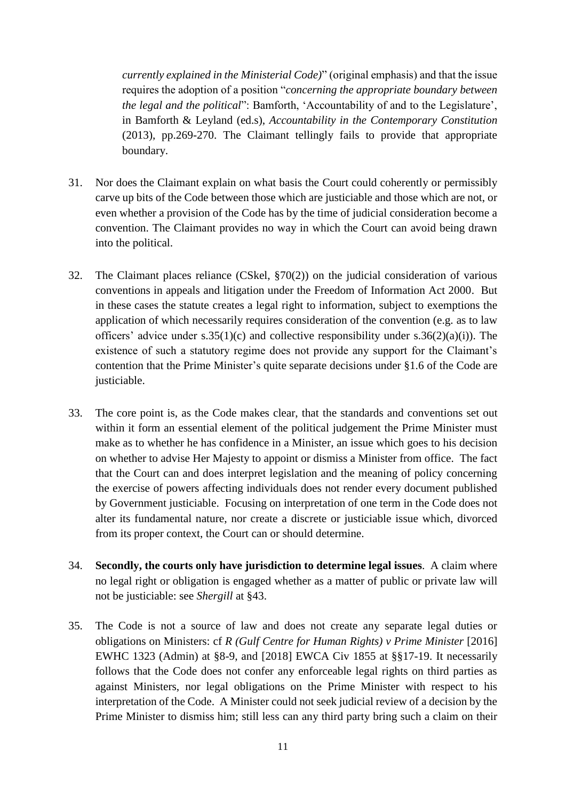*currently explained in the Ministerial Code)*" (original emphasis) and that the issue requires the adoption of a position "*concerning the appropriate boundary between the legal and the political*": Bamforth, 'Accountability of and to the Legislature', in Bamforth & Leyland (ed.s), *Accountability in the Contemporary Constitution* (2013), pp.269-270. The Claimant tellingly fails to provide that appropriate boundary.

- 31. Nor does the Claimant explain on what basis the Court could coherently or permissibly carve up bits of the Code between those which are justiciable and those which are not, or even whether a provision of the Code has by the time of judicial consideration become a convention. The Claimant provides no way in which the Court can avoid being drawn into the political.
- 32. The Claimant places reliance (CSkel, §70(2)) on the judicial consideration of various conventions in appeals and litigation under the Freedom of Information Act 2000. But in these cases the statute creates a legal right to information, subject to exemptions the application of which necessarily requires consideration of the convention (e.g. as to law officers' advice under s.35(1)(c) and collective responsibility under s.36(2)(a)(i)). The existence of such a statutory regime does not provide any support for the Claimant's contention that the Prime Minister's quite separate decisions under §1.6 of the Code are justiciable.
- 33. The core point is, as the Code makes clear, that the standards and conventions set out within it form an essential element of the political judgement the Prime Minister must make as to whether he has confidence in a Minister, an issue which goes to his decision on whether to advise Her Majesty to appoint or dismiss a Minister from office. The fact that the Court can and does interpret legislation and the meaning of policy concerning the exercise of powers affecting individuals does not render every document published by Government justiciable. Focusing on interpretation of one term in the Code does not alter its fundamental nature, nor create a discrete or justiciable issue which, divorced from its proper context, the Court can or should determine.
- 34. **Secondly, the courts only have jurisdiction to determine legal issues**. A claim where no legal right or obligation is engaged whether as a matter of public or private law will not be justiciable: see *Shergill* at §43.
- 35. The Code is not a source of law and does not create any separate legal duties or obligations on Ministers: cf *R (Gulf Centre for Human Rights) v Prime Minister* [2016] EWHC 1323 (Admin) at §8-9, and [2018] EWCA Civ 1855 at §§17-19. It necessarily follows that the Code does not confer any enforceable legal rights on third parties as against Ministers, nor legal obligations on the Prime Minister with respect to his interpretation of the Code. A Minister could not seek judicial review of a decision by the Prime Minister to dismiss him; still less can any third party bring such a claim on their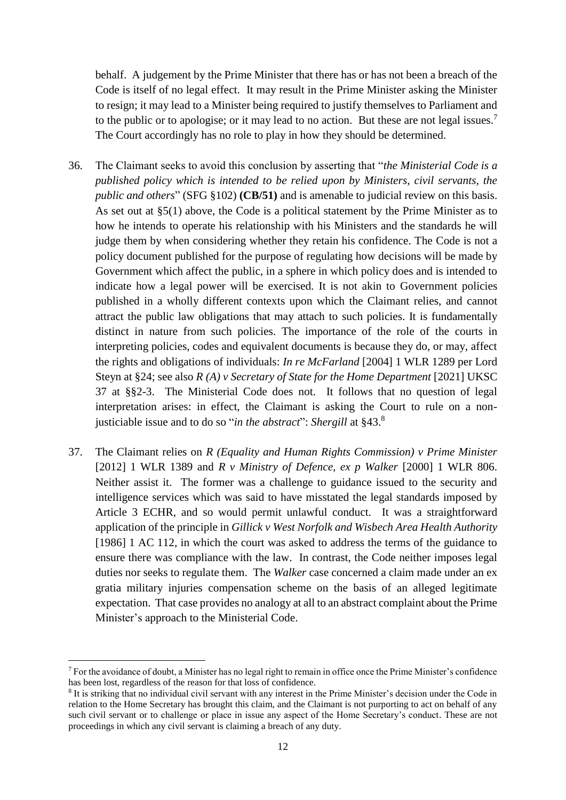behalf. A judgement by the Prime Minister that there has or has not been a breach of the Code is itself of no legal effect. It may result in the Prime Minister asking the Minister to resign; it may lead to a Minister being required to justify themselves to Parliament and to the public or to apologise; or it may lead to no action. But these are not legal issues.<sup>7</sup> The Court accordingly has no role to play in how they should be determined.

- 36. The Claimant seeks to avoid this conclusion by asserting that "*the Ministerial Code is a published policy which is intended to be relied upon by Ministers, civil servants, the public and others*" (SFG §102) **(CB/51)** and is amenable to judicial review on this basis. As set out at §5(1) above, the Code is a political statement by the Prime Minister as to how he intends to operate his relationship with his Ministers and the standards he will judge them by when considering whether they retain his confidence. The Code is not a policy document published for the purpose of regulating how decisions will be made by Government which affect the public, in a sphere in which policy does and is intended to indicate how a legal power will be exercised. It is not akin to Government policies published in a wholly different contexts upon which the Claimant relies, and cannot attract the public law obligations that may attach to such policies. It is fundamentally distinct in nature from such policies. The importance of the role of the courts in interpreting policies, codes and equivalent documents is because they do, or may, affect the rights and obligations of individuals: *In re McFarland* [2004] 1 WLR 1289 per Lord Steyn at §24; see also *R (A) v Secretary of State for the Home Department* [2021] UKSC 37 at §§2-3. The Ministerial Code does not. It follows that no question of legal interpretation arises: in effect, the Claimant is asking the Court to rule on a nonjusticiable issue and to do so "*in the abstract*": *Shergill* at §43. 8
- 37. The Claimant relies on *R (Equality and Human Rights Commission) v Prime Minister* [2012] 1 WLR 1389 and *R v Ministry of Defence, ex p Walker* [2000] 1 WLR 806. Neither assist it. The former was a challenge to guidance issued to the security and intelligence services which was said to have misstated the legal standards imposed by Article 3 ECHR, and so would permit unlawful conduct. It was a straightforward application of the principle in *Gillick v West Norfolk and Wisbech Area Health Authority*  [1986] 1 AC 112, in which the court was asked to address the terms of the guidance to ensure there was compliance with the law. In contrast, the Code neither imposes legal duties nor seeks to regulate them. The *Walker* case concerned a claim made under an ex gratia military injuries compensation scheme on the basis of an alleged legitimate expectation. That case provides no analogy at all to an abstract complaint about the Prime Minister's approach to the Ministerial Code.

<sup>&</sup>lt;sup>7</sup> For the avoidance of doubt, a Minister has no legal right to remain in office once the Prime Minister's confidence has been lost, regardless of the reason for that loss of confidence.

<sup>8</sup> It is striking that no individual civil servant with any interest in the Prime Minister's decision under the Code in relation to the Home Secretary has brought this claim, and the Claimant is not purporting to act on behalf of any such civil servant or to challenge or place in issue any aspect of the Home Secretary's conduct. These are not proceedings in which any civil servant is claiming a breach of any duty.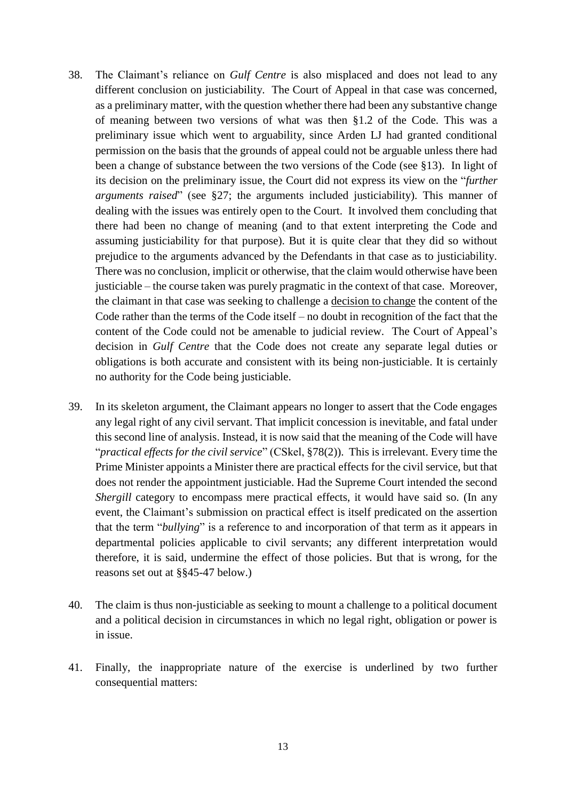- 38. The Claimant's reliance on *Gulf Centre* is also misplaced and does not lead to any different conclusion on justiciability. The Court of Appeal in that case was concerned, as a preliminary matter, with the question whether there had been any substantive change of meaning between two versions of what was then §1.2 of the Code. This was a preliminary issue which went to arguability, since Arden LJ had granted conditional permission on the basis that the grounds of appeal could not be arguable unless there had been a change of substance between the two versions of the Code (see §13). In light of its decision on the preliminary issue, the Court did not express its view on the "*further arguments raised*" (see §27; the arguments included justiciability). This manner of dealing with the issues was entirely open to the Court. It involved them concluding that there had been no change of meaning (and to that extent interpreting the Code and assuming justiciability for that purpose). But it is quite clear that they did so without prejudice to the arguments advanced by the Defendants in that case as to justiciability. There was no conclusion, implicit or otherwise, that the claim would otherwise have been justiciable – the course taken was purely pragmatic in the context of that case. Moreover, the claimant in that case was seeking to challenge a decision to change the content of the Code rather than the terms of the Code itself – no doubt in recognition of the fact that the content of the Code could not be amenable to judicial review. The Court of Appeal's decision in *Gulf Centre* that the Code does not create any separate legal duties or obligations is both accurate and consistent with its being non-justiciable. It is certainly no authority for the Code being justiciable.
- 39. In its skeleton argument, the Claimant appears no longer to assert that the Code engages any legal right of any civil servant. That implicit concession is inevitable, and fatal under this second line of analysis. Instead, it is now said that the meaning of the Code will have "*practical effects for the civil service*" (CSkel, §78(2)). This is irrelevant. Every time the Prime Minister appoints a Minister there are practical effects for the civil service, but that does not render the appointment justiciable. Had the Supreme Court intended the second *Shergill* category to encompass mere practical effects, it would have said so. (In any event, the Claimant's submission on practical effect is itself predicated on the assertion that the term "*bullying*" is a reference to and incorporation of that term as it appears in departmental policies applicable to civil servants; any different interpretation would therefore, it is said, undermine the effect of those policies. But that is wrong, for the reasons set out at §§45-47 below.)
- 40. The claim is thus non-justiciable as seeking to mount a challenge to a political document and a political decision in circumstances in which no legal right, obligation or power is in issue.
- 41. Finally, the inappropriate nature of the exercise is underlined by two further consequential matters: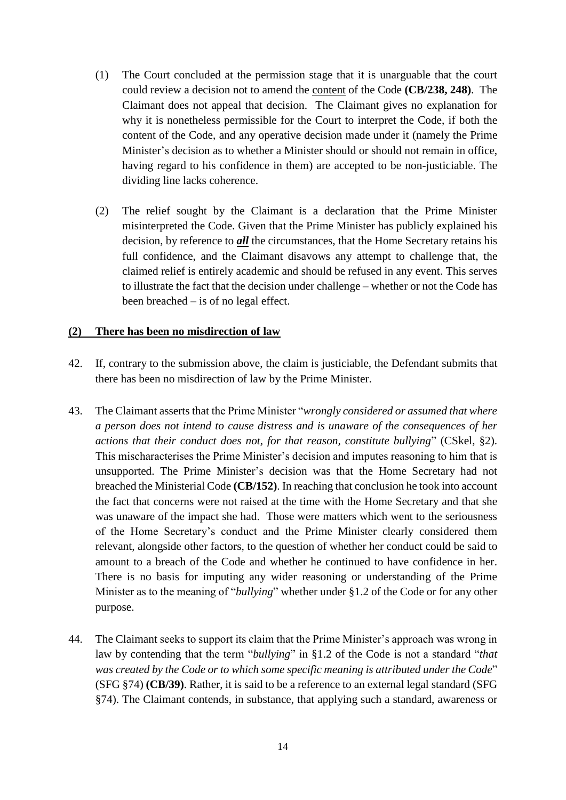- (1) The Court concluded at the permission stage that it is unarguable that the court could review a decision not to amend the content of the Code **(CB/238, 248)**. The Claimant does not appeal that decision. The Claimant gives no explanation for why it is nonetheless permissible for the Court to interpret the Code, if both the content of the Code, and any operative decision made under it (namely the Prime Minister's decision as to whether a Minister should or should not remain in office, having regard to his confidence in them) are accepted to be non-justiciable. The dividing line lacks coherence.
- (2) The relief sought by the Claimant is a declaration that the Prime Minister misinterpreted the Code. Given that the Prime Minister has publicly explained his decision, by reference to *all* the circumstances, that the Home Secretary retains his full confidence, and the Claimant disavows any attempt to challenge that, the claimed relief is entirely academic and should be refused in any event. This serves to illustrate the fact that the decision under challenge – whether or not the Code has been breached – is of no legal effect.

#### **(2) There has been no misdirection of law**

- 42. If, contrary to the submission above, the claim is justiciable, the Defendant submits that there has been no misdirection of law by the Prime Minister.
- 43. The Claimant asserts that the Prime Minister "*wrongly considered or assumed that where a person does not intend to cause distress and is unaware of the consequences of her actions that their conduct does not, for that reason, constitute bullying*" (CSkel, §2). This mischaracterises the Prime Minister's decision and imputes reasoning to him that is unsupported. The Prime Minister's decision was that the Home Secretary had not breached the Ministerial Code **(CB/152)**. In reaching that conclusion he took into account the fact that concerns were not raised at the time with the Home Secretary and that she was unaware of the impact she had. Those were matters which went to the seriousness of the Home Secretary's conduct and the Prime Minister clearly considered them relevant, alongside other factors, to the question of whether her conduct could be said to amount to a breach of the Code and whether he continued to have confidence in her. There is no basis for imputing any wider reasoning or understanding of the Prime Minister as to the meaning of "*bullying*" whether under §1.2 of the Code or for any other purpose.
- 44. The Claimant seeks to support its claim that the Prime Minister's approach was wrong in law by contending that the term "*bullying*" in §1.2 of the Code is not a standard "*that was created by the Code or to which some specific meaning is attributed under the Code*" (SFG §74) **(CB/39)**. Rather, it is said to be a reference to an external legal standard (SFG §74). The Claimant contends, in substance, that applying such a standard, awareness or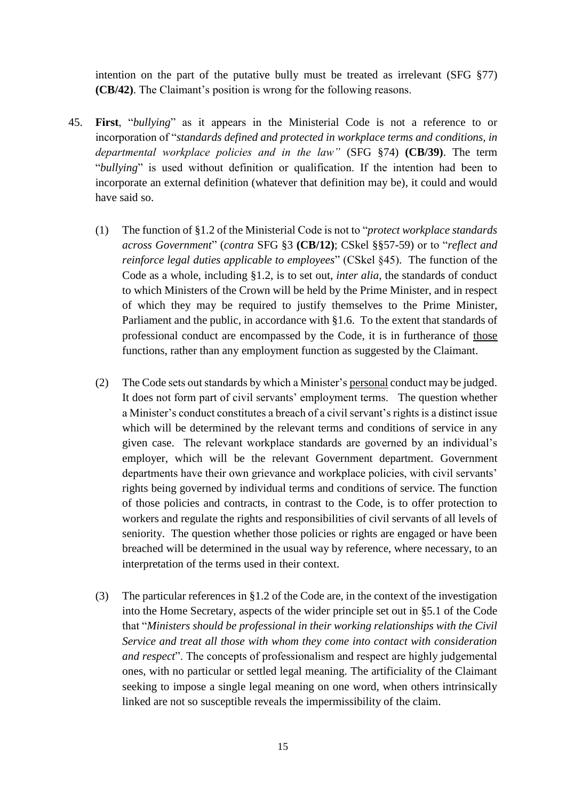intention on the part of the putative bully must be treated as irrelevant (SFG §77) **(CB/42)**. The Claimant's position is wrong for the following reasons.

- 45. **First**, "*bullying*" as it appears in the Ministerial Code is not a reference to or incorporation of "*standards defined and protected in workplace terms and conditions, in departmental workplace policies and in the law"* (SFG §74) **(CB/39)**. The term "*bullying*" is used without definition or qualification. If the intention had been to incorporate an external definition (whatever that definition may be), it could and would have said so.
	- (1) The function of §1.2 of the Ministerial Code is not to "*protect workplace standards across Government*" (*contra* SFG §3 **(CB/12)**; CSkel §§57-59) or to "*reflect and reinforce legal duties applicable to employees*" (CSkel §45). The function of the Code as a whole, including §1.2, is to set out, *inter alia*, the standards of conduct to which Ministers of the Crown will be held by the Prime Minister, and in respect of which they may be required to justify themselves to the Prime Minister, Parliament and the public, in accordance with §1.6. To the extent that standards of professional conduct are encompassed by the Code, it is in furtherance of those functions, rather than any employment function as suggested by the Claimant.
	- (2) The Code sets out standards by which a Minister's personal conduct may be judged. It does not form part of civil servants' employment terms. The question whether a Minister's conduct constitutes a breach of a civil servant's rights is a distinct issue which will be determined by the relevant terms and conditions of service in any given case. The relevant workplace standards are governed by an individual's employer, which will be the relevant Government department. Government departments have their own grievance and workplace policies, with civil servants' rights being governed by individual terms and conditions of service. The function of those policies and contracts, in contrast to the Code, is to offer protection to workers and regulate the rights and responsibilities of civil servants of all levels of seniority. The question whether those policies or rights are engaged or have been breached will be determined in the usual way by reference, where necessary, to an interpretation of the terms used in their context.
	- (3) The particular references in §1.2 of the Code are, in the context of the investigation into the Home Secretary, aspects of the wider principle set out in §5.1 of the Code that "*Ministers should be professional in their working relationships with the Civil Service and treat all those with whom they come into contact with consideration and respect*". The concepts of professionalism and respect are highly judgemental ones, with no particular or settled legal meaning. The artificiality of the Claimant seeking to impose a single legal meaning on one word, when others intrinsically linked are not so susceptible reveals the impermissibility of the claim.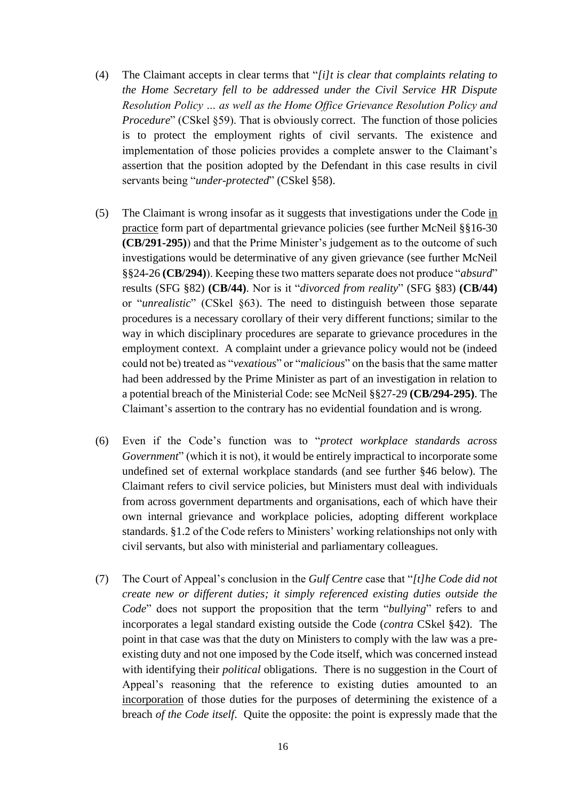- (4) The Claimant accepts in clear terms that "*[i]t is clear that complaints relating to the Home Secretary fell to be addressed under the Civil Service HR Dispute Resolution Policy … as well as the Home Office Grievance Resolution Policy and Procedure*" (CSkel §59). That is obviously correct. The function of those policies is to protect the employment rights of civil servants. The existence and implementation of those policies provides a complete answer to the Claimant's assertion that the position adopted by the Defendant in this case results in civil servants being "*under-protected*" (CSkel §58).
- (5) The Claimant is wrong insofar as it suggests that investigations under the Code in practice form part of departmental grievance policies (see further McNeil §§16-30 **(CB/291-295)**) and that the Prime Minister's judgement as to the outcome of such investigations would be determinative of any given grievance (see further McNeil §§24-26 **(CB/294)**). Keeping these two matters separate does not produce "*absurd*" results (SFG §82) **(CB/44)**. Nor is it "*divorced from reality*" (SFG §83) **(CB/44)**  or "*unrealistic*" (CSkel §63). The need to distinguish between those separate procedures is a necessary corollary of their very different functions; similar to the way in which disciplinary procedures are separate to grievance procedures in the employment context. A complaint under a grievance policy would not be (indeed could not be) treated as "*vexatious*" or "*malicious*" on the basis that the same matter had been addressed by the Prime Minister as part of an investigation in relation to a potential breach of the Ministerial Code: see McNeil §§27-29 **(CB/294-295)**. The Claimant's assertion to the contrary has no evidential foundation and is wrong.
- (6) Even if the Code's function was to "*protect workplace standards across Government*" (which it is not), it would be entirely impractical to incorporate some undefined set of external workplace standards (and see further §46 below). The Claimant refers to civil service policies, but Ministers must deal with individuals from across government departments and organisations, each of which have their own internal grievance and workplace policies, adopting different workplace standards. §1.2 of the Code refers to Ministers' working relationships not only with civil servants, but also with ministerial and parliamentary colleagues.
- (7) The Court of Appeal's conclusion in the *Gulf Centre* case that "*[t]he Code did not create new or different duties; it simply referenced existing duties outside the Code*" does not support the proposition that the term "*bullying*" refers to and incorporates a legal standard existing outside the Code (*contra* CSkel §42). The point in that case was that the duty on Ministers to comply with the law was a preexisting duty and not one imposed by the Code itself, which was concerned instead with identifying their *political* obligations. There is no suggestion in the Court of Appeal's reasoning that the reference to existing duties amounted to an incorporation of those duties for the purposes of determining the existence of a breach *of the Code itself*. Quite the opposite: the point is expressly made that the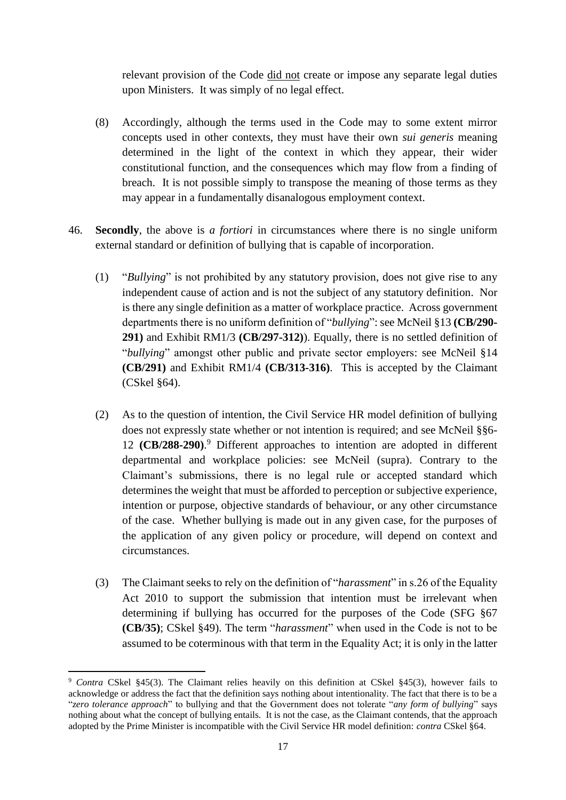relevant provision of the Code did not create or impose any separate legal duties upon Ministers. It was simply of no legal effect.

- (8) Accordingly, although the terms used in the Code may to some extent mirror concepts used in other contexts, they must have their own *sui generis* meaning determined in the light of the context in which they appear, their wider constitutional function, and the consequences which may flow from a finding of breach. It is not possible simply to transpose the meaning of those terms as they may appear in a fundamentally disanalogous employment context.
- 46. **Secondly**, the above is *a fortiori* in circumstances where there is no single uniform external standard or definition of bullying that is capable of incorporation.
	- (1) "*Bullying*" is not prohibited by any statutory provision, does not give rise to any independent cause of action and is not the subject of any statutory definition. Nor is there any single definition as a matter of workplace practice. Across government departments there is no uniform definition of "*bullying*": see McNeil §13 **(CB/290- 291)** and Exhibit RM1/3 **(CB/297-312)**). Equally, there is no settled definition of "*bullying*" amongst other public and private sector employers: see McNeil §14 **(CB/291)** and Exhibit RM1/4 **(CB/313-316)**. This is accepted by the Claimant (CSkel §64).
	- (2) As to the question of intention, the Civil Service HR model definition of bullying does not expressly state whether or not intention is required; and see McNeil §§6- 12 **(CB/288-290)**. <sup>9</sup> Different approaches to intention are adopted in different departmental and workplace policies: see McNeil (supra). Contrary to the Claimant's submissions, there is no legal rule or accepted standard which determines the weight that must be afforded to perception or subjective experience, intention or purpose, objective standards of behaviour, or any other circumstance of the case. Whether bullying is made out in any given case, for the purposes of the application of any given policy or procedure, will depend on context and circumstances.
	- (3) The Claimant seeks to rely on the definition of "*harassment*" in s.26 of the Equality Act 2010 to support the submission that intention must be irrelevant when determining if bullying has occurred for the purposes of the Code (SFG §67 **(CB/35)**; CSkel §49). The term "*harassment*" when used in the Code is not to be assumed to be coterminous with that term in the Equality Act; it is only in the latter

<sup>9</sup> *Contra* CSkel §45(3). The Claimant relies heavily on this definition at CSkel §45(3), however fails to acknowledge or address the fact that the definition says nothing about intentionality. The fact that there is to be a "*zero tolerance approach*" to bullying and that the Government does not tolerate "*any form of bullying*" says nothing about what the concept of bullying entails. It is not the case, as the Claimant contends, that the approach adopted by the Prime Minister is incompatible with the Civil Service HR model definition: *contra* CSkel §64.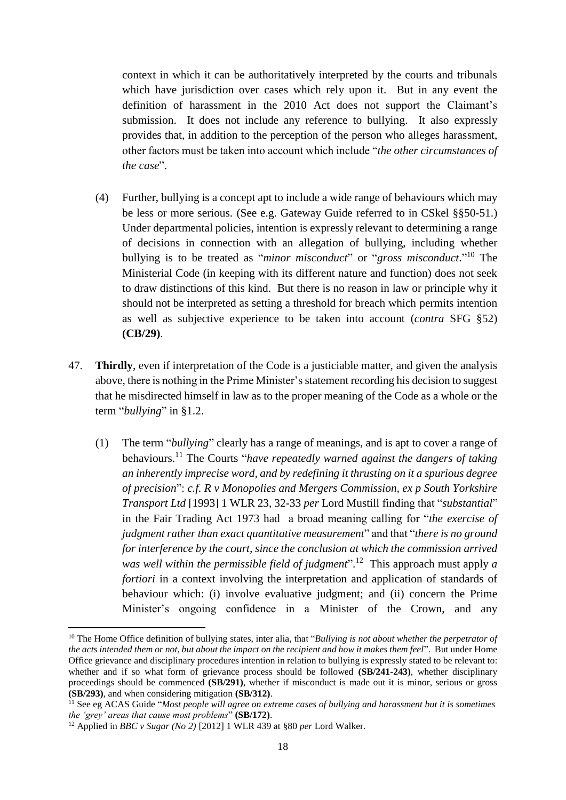context in which it can be authoritatively interpreted by the courts and tribunals which have jurisdiction over cases which rely upon it. But in any event the definition of harassment in the 2010 Act does not support the Claimant's submission. It does not include any reference to bullying. It also expressly provides that, in addition to the perception of the person who alleges harassment, other factors must be taken into account which include "*the other circumstances of the case*".

- (4) Further, bullying is a concept apt to include a wide range of behaviours which may be less or more serious. (See e.g. Gateway Guide referred to in CSkel §§50-51.) Under departmental policies, intention is expressly relevant to determining a range of decisions in connection with an allegation of bullying, including whether bullying is to be treated as "*minor misconduct*" or "*gross misconduct*." <sup>10</sup> The Ministerial Code (in keeping with its different nature and function) does not seek to draw distinctions of this kind. But there is no reason in law or principle why it should not be interpreted as setting a threshold for breach which permits intention as well as subjective experience to be taken into account (*contra* SFG §52) **(CB/29)**.
- 47. **Thirdly**, even if interpretation of the Code is a justiciable matter, and given the analysis above, there is nothing in the Prime Minister's statement recording his decision to suggest that he misdirected himself in law as to the proper meaning of the Code as a whole or the term "*bullying*" in §1.2.
	- (1) The term "*bullying*" clearly has a range of meanings, and is apt to cover a range of behaviours. <sup>11</sup> The Courts "*have repeatedly warned against the dangers of taking an inherently imprecise word, and by redefining it thrusting on it a spurious degree of precision*": *c.f. R v Monopolies and Mergers Commission, ex p South Yorkshire Transport Ltd* [1993] 1 WLR 23, 32-33 *per* Lord Mustill finding that "*substantial*" in the Fair Trading Act 1973 had a broad meaning calling for "*the exercise of judgment rather than exact quantitative measurement*" and that "*there is no ground for interference by the court, since the conclusion at which the commission arrived*  was well within the permissible field of judgment".<sup>12</sup> This approach must apply a *fortiori* in a context involving the interpretation and application of standards of behaviour which: (i) involve evaluative judgment; and (ii) concern the Prime Minister's ongoing confidence in a Minister of the Crown, and any

<sup>&</sup>lt;sup>10</sup> The Home Office definition of bullying states, inter alia, that "*Bullying is not about whether the perpetrator of the acts intended them or not, but about the impact on the recipient and how it makes them feel*". But under Home Office grievance and disciplinary procedures intention in relation to bullying is expressly stated to be relevant to: whether and if so what form of grievance process should be followed **(SB/241-243)**, whether disciplinary proceedings should be commenced **(SB/291)**, whether if misconduct is made out it is minor, serious or gross **(SB/293)**, and when considering mitigation **(SB/312)**.

<sup>11</sup> See eg ACAS Guide "*Most people will agree on extreme cases of bullying and harassment but it is sometimes the 'grey' areas that cause most problems*" **(SB/172)**.

<sup>12</sup> Applied in *BBC v Sugar (No 2)* [2012] 1 WLR 439 at §80 *per* Lord Walker.